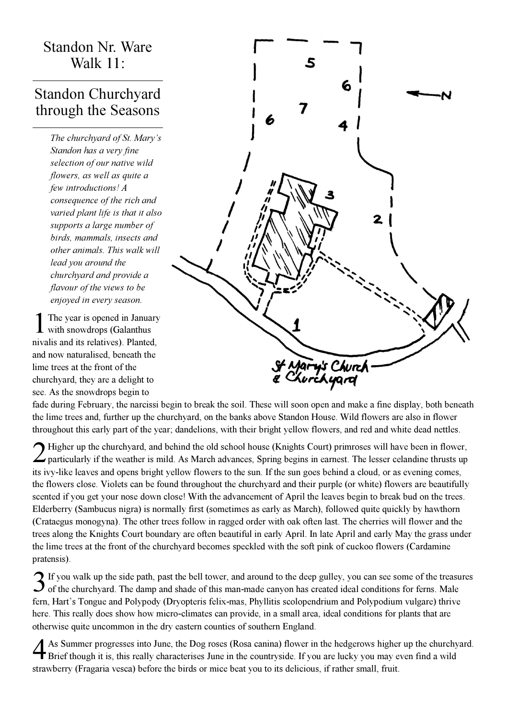## Standon Nr. Ware Walk 11:

## Standon Churchyard through the Seasons

The churchyard of St. Mary's Standon has a very fine selection of our native wild flowers, as well as quite a few introductions! A consequence of the rich and varied plant life is that it also supports a large number of birds, mammals, insects and other animals. This walk will lead you around the churchyard and provide a flavour of the views to be enjoyed in every season.

1 The year is opened in January with snowdrops (Galanthus nivalis and its relatives). Planted, and now naturalised, beneath the lime trees at the front of the churchyard, they are a delight to see. As the snowdrops begin to



fade during February, the narcissi begin to break the soil. These will soon open and make a fine display, both beneath the lime trees and, further up the churchyard, on the banks above Standon House. Wild flowers are also in flower throughout this early part of the year; dandelions, with their bright yellow flowers, and red and white dead nettles.

2 Higher up the churchyard, and behind the old school house (Knights Court) primroses will have been in flower, particularly if the weather is mild. As March advances, Spring begins in earnest. The lesser celandine thrusts Higher up the churchyard, and behind the old school house (Knights Court) primroses will have been in flower, its ivy-like leaves and opens bright yellow flowers to the sun. If the sun goes behind a cloud, or as evening comes, the flowers close. Violets can be found throughout the churchyard and their purple (or white) flowers are beautifully scented if you get your nose down close! With the advancement of April the leaves begin to break bud on the trees. Elderberry (Sambucus nigra) is normally first (sometimes as early as March), followed quite quickly by hawthorn (Crataegus monogyna). The other trees follow in ragged order with oak often last. The cherries will flower and the trees along the Knights Court boundary are often beautiful in early April. In late April and early May the grass under the lime trees at the front of the churchyard becomes speckled with the soft pink of cuckoo flowers (Cardamine pratensis).

If you walk up the side path, past the bell tower, and around to the deep gulley, you can see some of the treasured of the churchyard. The damp and shade of this man-made canyon has created ideal conditions for ferns. Male  $\bigcap$  If you walk up the side path, past the bell tower, and around to the deep gulley, you can see some of the treasures fern, Hart's Tongue and Polypody (Dryopteris felix-mas, Phyllitis scolopendrium and Polypodium vulgare) thrive here. This really does show how micro-climates can provide, in a small area, ideal conditions for plants that are otherwise quite uncommon in the dry eastern counties of southern England.

4 As Summer progresses into June, the Dog roses (Rosa canina) flower in the hedgerows higher up the churchyard. Brief though it is, this really characterises June in the countryside. If you are lucky you may even find a wild strawberry (Fragaria vesca) before the birds or mice beat you to its delicious, if rather small, fruit.